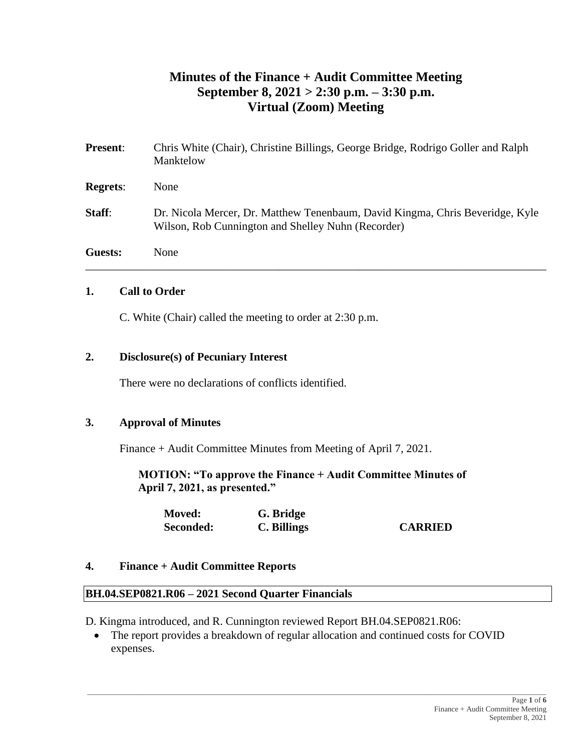## **Minutes of the Finance + Audit Committee Meeting September 8, 2021 > 2:30 p.m. – 3:30 p.m. Virtual (Zoom) Meeting**

| <b>Present:</b> | Chris White (Chair), Christine Billings, George Bridge, Rodrigo Goller and Ralph<br>Manktelow                                       |
|-----------------|-------------------------------------------------------------------------------------------------------------------------------------|
| <b>Regrets:</b> | None                                                                                                                                |
| <b>Staff:</b>   | Dr. Nicola Mercer, Dr. Matthew Tenenbaum, David Kingma, Chris Beveridge, Kyle<br>Wilson, Rob Cunnington and Shelley Nuhn (Recorder) |
| <b>Guests:</b>  | None                                                                                                                                |

#### **1. Call to Order**

C. White (Chair) called the meeting to order at 2:30 p.m.

#### **2. Disclosure(s) of Pecuniary Interest**

There were no declarations of conflicts identified.

### **3. Approval of Minutes**

Finance + Audit Committee Minutes from Meeting of April 7, 2021.

**MOTION: "To approve the Finance + Audit Committee Minutes of April 7, 2021, as presented."**

| <b>Moved:</b> | G. Bridge   |                |
|---------------|-------------|----------------|
| Seconded:     | C. Billings | <b>CARRIED</b> |

#### **4. Finance + Audit Committee Reports**

#### **BH.04.SEP0821.R06 – 2021 Second Quarter Financials**

D. Kingma introduced, and R. Cunnington reviewed Report BH.04.SEP0821.R06:

• The report provides a breakdown of regular allocation and continued costs for COVID expenses.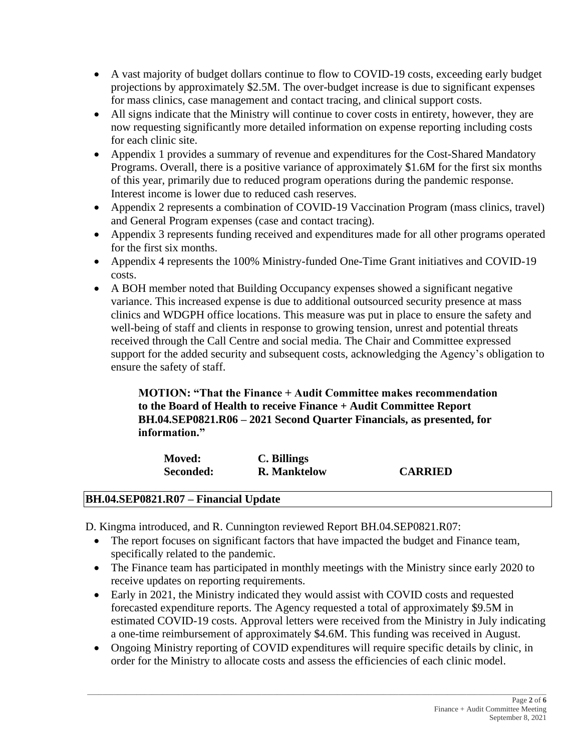- A vast majority of budget dollars continue to flow to COVID-19 costs, exceeding early budget projections by approximately \$2.5M. The over-budget increase is due to significant expenses for mass clinics, case management and contact tracing, and clinical support costs.
- All signs indicate that the Ministry will continue to cover costs in entirety, however, they are now requesting significantly more detailed information on expense reporting including costs for each clinic site.
- Appendix 1 provides a summary of revenue and expenditures for the Cost-Shared Mandatory Programs. Overall, there is a positive variance of approximately \$1.6M for the first six months of this year, primarily due to reduced program operations during the pandemic response. Interest income is lower due to reduced cash reserves.
- Appendix 2 represents a combination of COVID-19 Vaccination Program (mass clinics, travel) and General Program expenses (case and contact tracing).
- Appendix 3 represents funding received and expenditures made for all other programs operated for the first six months.
- Appendix 4 represents the 100% Ministry-funded One-Time Grant initiatives and COVID-19 costs.
- A BOH member noted that Building Occupancy expenses showed a significant negative variance. This increased expense is due to additional outsourced security presence at mass clinics and WDGPH office locations. This measure was put in place to ensure the safety and well-being of staff and clients in response to growing tension, unrest and potential threats received through the Call Centre and social media. The Chair and Committee expressed support for the added security and subsequent costs, acknowledging the Agency's obligation to ensure the safety of staff.

### **MOTION: "That the Finance + Audit Committee makes recommendation to the Board of Health to receive Finance + Audit Committee Report BH.04.SEP0821.R06 – 2021 Second Quarter Financials, as presented, for information."**

| <b>Moved:</b> | C. Billings         |                |
|---------------|---------------------|----------------|
| Seconded:     | <b>R.</b> Manktelow | <b>CARRIED</b> |

### **BH.04.SEP0821.R07 – Financial Update**

D. Kingma introduced, and R. Cunnington reviewed Report BH.04.SEP0821.R07:

- The report focuses on significant factors that have impacted the budget and Finance team, specifically related to the pandemic.
- The Finance team has participated in monthly meetings with the Ministry since early 2020 to receive updates on reporting requirements.
- Early in 2021, the Ministry indicated they would assist with COVID costs and requested forecasted expenditure reports. The Agency requested a total of approximately \$9.5M in estimated COVID-19 costs. Approval letters were received from the Ministry in July indicating a one-time reimbursement of approximately \$4.6M. This funding was received in August.
- Ongoing Ministry reporting of COVID expenditures will require specific details by clinic, in order for the Ministry to allocate costs and assess the efficiencies of each clinic model.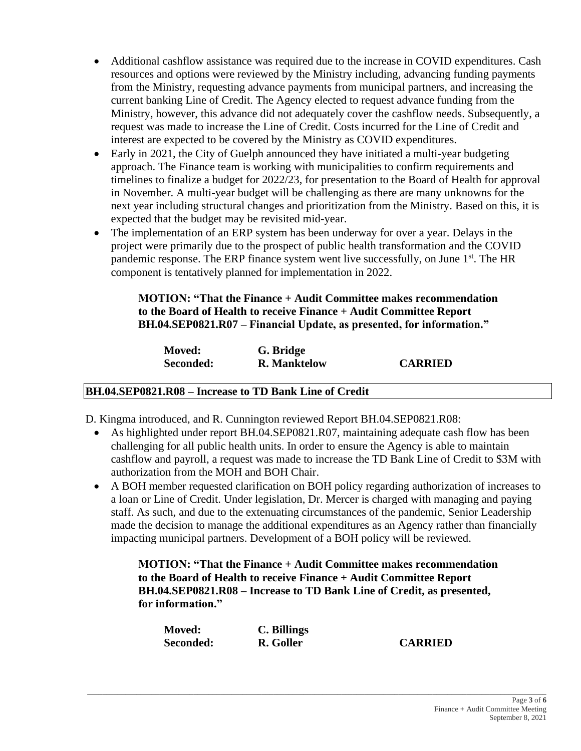- Additional cashflow assistance was required due to the increase in COVID expenditures. Cash resources and options were reviewed by the Ministry including, advancing funding payments from the Ministry, requesting advance payments from municipal partners, and increasing the current banking Line of Credit. The Agency elected to request advance funding from the Ministry, however, this advance did not adequately cover the cashflow needs. Subsequently, a request was made to increase the Line of Credit. Costs incurred for the Line of Credit and interest are expected to be covered by the Ministry as COVID expenditures.
- Early in 2021, the City of Guelph announced they have initiated a multi-year budgeting approach. The Finance team is working with municipalities to confirm requirements and timelines to finalize a budget for 2022/23, for presentation to the Board of Health for approval in November. A multi-year budget will be challenging as there are many unknowns for the next year including structural changes and prioritization from the Ministry. Based on this, it is expected that the budget may be revisited mid-year.
- The implementation of an ERP system has been underway for over a year. Delays in the project were primarily due to the prospect of public health transformation and the COVID pandemic response. The ERP finance system went live successfully, on June 1<sup>st</sup>. The HR component is tentatively planned for implementation in 2022.

## **MOTION: "That the Finance + Audit Committee makes recommendation to the Board of Health to receive Finance + Audit Committee Report BH.04.SEP0821.R07 – Financial Update, as presented, for information."**

| <b>Moved:</b> | G. Bridge           |                |
|---------------|---------------------|----------------|
| Seconded:     | <b>R.</b> Manktelow | <b>CARRIED</b> |

## **BH.04.SEP0821.R08 – Increase to TD Bank Line of Credit**

D. Kingma introduced, and R. Cunnington reviewed Report BH.04.SEP0821.R08:

- As highlighted under report BH.04.SEP0821.R07, maintaining adequate cash flow has been challenging for all public health units. In order to ensure the Agency is able to maintain cashflow and payroll, a request was made to increase the TD Bank Line of Credit to \$3M with authorization from the MOH and BOH Chair.
- A BOH member requested clarification on BOH policy regarding authorization of increases to a loan or Line of Credit. Under legislation, Dr. Mercer is charged with managing and paying staff. As such, and due to the extenuating circumstances of the pandemic, Senior Leadership made the decision to manage the additional expenditures as an Agency rather than financially impacting municipal partners. Development of a BOH policy will be reviewed.

**MOTION: "That the Finance + Audit Committee makes recommendation to the Board of Health to receive Finance + Audit Committee Report BH.04.SEP0821.R08 – Increase to TD Bank Line of Credit, as presented, for information."**

| <b>Moved:</b> | C. Billings |                |
|---------------|-------------|----------------|
| Seconded:     | R. Goller   | <b>CARRIED</b> |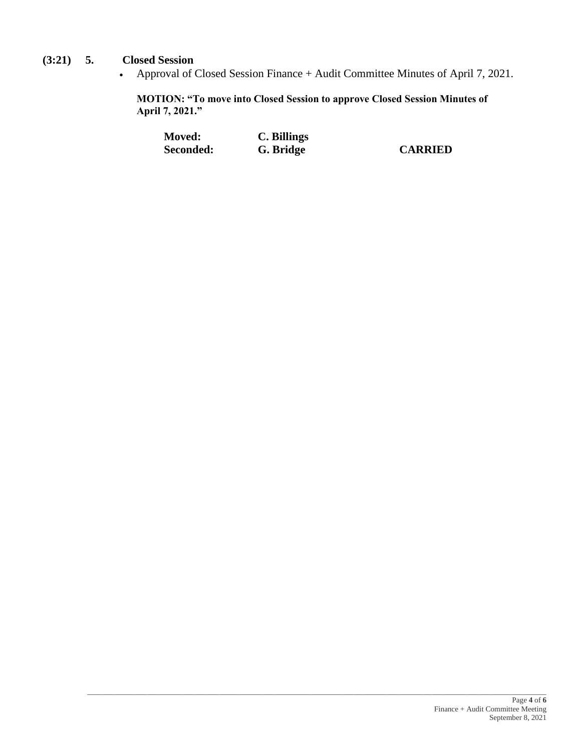## **(3:21) 5. Closed Session**

• Approval of Closed Session Finance + Audit Committee Minutes of April 7, 2021.

**MOTION: "To move into Closed Session to approve Closed Session Minutes of April 7, 2021."**

| <b>Moved:</b> | C. Billings |                |
|---------------|-------------|----------------|
| Seconded:     | G. Bridge   | <b>CARRIED</b> |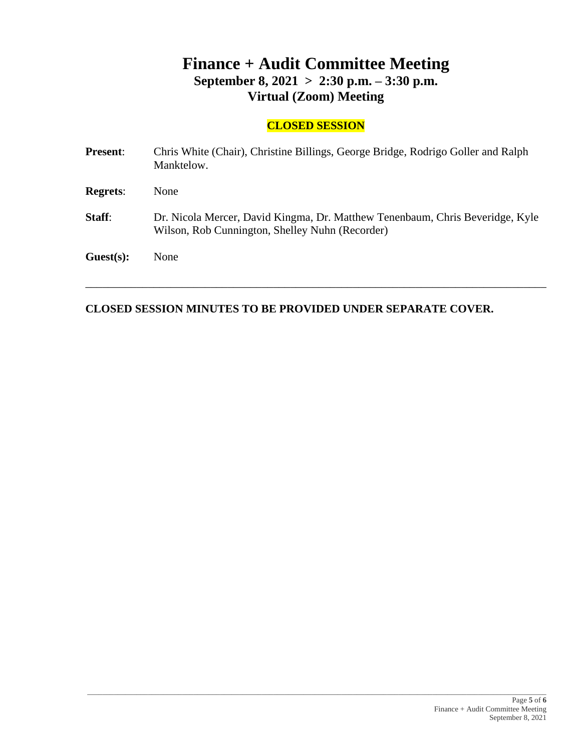# **Finance + Audit Committee Meeting September 8, 2021 > 2:30 p.m. – 3:30 p.m. Virtual (Zoom) Meeting**

## **CLOSED SESSION**

| <b>Present:</b> | Chris White (Chair), Christine Billings, George Bridge, Rodrigo Goller and Ralph<br>Manktelow.                                   |
|-----------------|----------------------------------------------------------------------------------------------------------------------------------|
| <b>Regrets:</b> | None                                                                                                                             |
| Staff:          | Dr. Nicola Mercer, David Kingma, Dr. Matthew Tenenbaum, Chris Beveridge, Kyle<br>Wilson, Rob Cunnington, Shelley Nuhn (Recorder) |
| Guest(s):       | None                                                                                                                             |

\_\_\_\_\_\_\_\_\_\_\_\_\_\_\_\_\_\_\_\_\_\_\_\_\_\_\_\_\_\_\_\_\_\_\_\_\_\_\_\_\_\_\_\_\_\_\_\_\_\_\_\_\_\_\_\_\_\_\_\_\_\_\_\_\_\_\_\_\_\_\_\_\_\_\_\_\_\_\_\_\_

\_\_\_\_\_\_\_\_\_\_\_\_\_\_\_\_\_\_\_\_\_\_\_\_\_\_\_\_\_\_\_\_\_\_\_\_\_\_\_\_\_\_\_\_\_\_\_\_\_\_\_\_\_\_\_\_\_\_\_\_\_\_\_\_\_\_\_\_\_\_\_\_\_\_\_\_\_\_\_\_\_\_\_\_\_\_\_\_\_\_\_\_\_\_\_\_\_\_\_\_\_\_\_\_\_\_\_\_\_\_\_\_\_\_\_\_\_\_\_\_\_

### **CLOSED SESSION MINUTES TO BE PROVIDED UNDER SEPARATE COVER.**